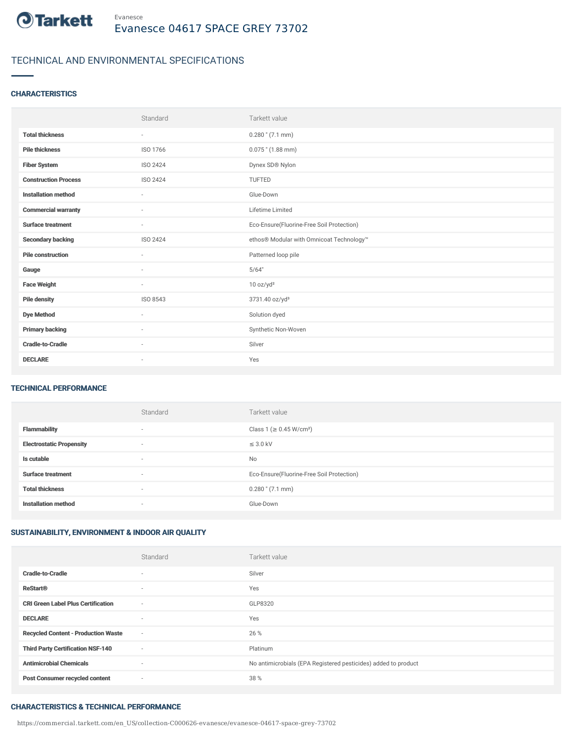

## TECHNICAL AND ENVIRONMENTAL SPECIFICATIONS

## **CHARACTERISTICS**

|                             | Standard                 | Tarkett value                             |
|-----------------------------|--------------------------|-------------------------------------------|
| <b>Total thickness</b>      | $\overline{\phantom{a}}$ | $0.280$ " $(7.1$ mm)                      |
| <b>Pile thickness</b>       | ISO 1766                 | $0.075$ " (1.88 mm)                       |
| <b>Fiber System</b>         | ISO 2424                 | Dynex SD® Nylon                           |
| <b>Construction Process</b> | ISO 2424                 | TUFTED                                    |
| <b>Installation method</b>  | $\sim$                   | Glue-Down                                 |
| <b>Commercial warranty</b>  | ٠                        | Lifetime Limited                          |
| <b>Surface treatment</b>    | $\sim$                   | Eco-Ensure(Fluorine-Free Soil Protection) |
| <b>Secondary backing</b>    | ISO 2424                 | ethos® Modular with Omnicoat Technology™  |
| <b>Pile construction</b>    | $\sim$                   | Patterned loop pile                       |
| Gauge                       | ٠                        | 5/64"                                     |
| <b>Face Weight</b>          | $\sim$                   | 10 oz/yd <sup>2</sup>                     |
| <b>Pile density</b>         | ISO 8543                 | 3731.40 oz/yd <sup>3</sup>                |
| <b>Dye Method</b>           | ٠                        | Solution dyed                             |
| <b>Primary backing</b>      | ٠                        | Synthetic Non-Woven                       |
| <b>Cradle-to-Cradle</b>     | ٠                        | Silver                                    |
| <b>DECLARE</b>              | $\overline{\phantom{a}}$ | Yes                                       |

### TECHNICAL PERFORMANCE

|                                 | Standard                 | Tarkett value                             |
|---------------------------------|--------------------------|-------------------------------------------|
| <b>Flammability</b>             | $\overline{\phantom{a}}$ | Class 1 (≥ 0.45 W/cm <sup>2</sup> )       |
| <b>Electrostatic Propensity</b> | $\overline{\phantom{a}}$ | $\leq$ 3.0 kV                             |
| Is cutable                      | $\overline{\phantom{a}}$ | <b>No</b>                                 |
| <b>Surface treatment</b>        | $\overline{\phantom{a}}$ | Eco-Ensure(Fluorine-Free Soil Protection) |
| <b>Total thickness</b>          | $\overline{\phantom{a}}$ | $0.280$ " $(7.1$ mm)                      |
| <b>Installation method</b>      | $\overline{\phantom{a}}$ | Glue-Down                                 |

## SUSTAINABILITY, ENVIRONMENT & INDOOR AIR QUALITY

|                                            | Standard                 | Tarkett value                                                  |
|--------------------------------------------|--------------------------|----------------------------------------------------------------|
| <b>Cradle-to-Cradle</b>                    | $\overline{\phantom{a}}$ | Silver                                                         |
| <b>ReStart®</b>                            | $\sim$                   | Yes                                                            |
| <b>CRI Green Label Plus Certification</b>  | $\sim$                   | GLP8320                                                        |
| <b>DECLARE</b>                             | $\sim$                   | Yes                                                            |
| <b>Recycled Content - Production Waste</b> | $\sim$                   | 26 %                                                           |
| <b>Third Party Certification NSF-140</b>   | $\sim$                   | Platinum                                                       |
| <b>Antimicrobial Chemicals</b>             | $\sim$                   | No antimicrobials (EPA Registered pesticides) added to product |
| <b>Post Consumer recycled content</b>      | $\sim$                   | 38 %                                                           |

#### CHARACTERISTICS & TECHNICAL PERFORMANCE